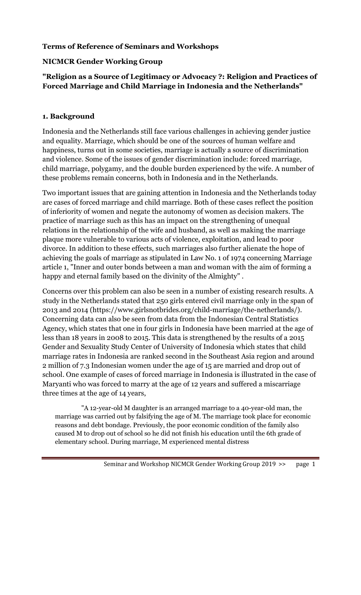# Terms of Reference of Seminars and Workshops

### NICMCR Gender Working Group

# "Religion as a Source of Legitimacy or Advocacy ?: Religion and Practices of Forced Marriage and Child Marriage in Indonesia and the Netherlands"

#### 1. Background

Indonesia and the Netherlands still face various challenges in achieving gender justice and equality. Marriage, which should be one of the sources of human welfare and happiness, turns out in some societies, marriage is actually a source of discrimination and violence. Some of the issues of gender discrimination include: forced marriage, child marriage, polygamy, and the double burden experienced by the wife. A number of these problems remain concerns, both in Indonesia and in the Netherlands.

Two important issues that are gaining attention in Indonesia and the Netherlands today are cases of forced marriage and child marriage. Both of these cases reflect the position of inferiority of women and negate the autonomy of women as decision makers. The practice of marriage such as this has an impact on the strengthening of unequal relations in the relationship of the wife and husband, as well as making the marriage plaque more vulnerable to various acts of violence, exploitation, and lead to poor divorce. In addition to these effects, such marriages also further alienate the hope of achieving the goals of marriage as stipulated in Law No. 1 of 1974 concerning Marriage article 1, "Inner and outer bonds between a man and woman with the aim of forming a happy and eternal family based on the divinity of the Almighty" .

Concerns over this problem can also be seen in a number of existing research results. A study in the Netherlands stated that 250 girls entered civil marriage only in the span of 2013 and 2014 (https://www.girlsnotbrides.org/child-marriage/the-netherlands/). Concerning data can also be seen from data from the Indonesian Central Statistics Agency, which states that one in four girls in Indonesia have been married at the age of less than 18 years in 2008 to 2015. This data is strengthened by the results of a 2015 Gender and Sexuality Study Center of University of Indonesia which states that child marriage rates in Indonesia are ranked second in the Southeast Asia region and around 2 million of 7.3 Indonesian women under the age of 15 are married and drop out of school. One example of cases of forced marriage in Indonesia is illustrated in the case of Maryanti who was forced to marry at the age of 12 years and suffered a miscarriage three times at the age of 14 years,

"A 12-year-old M daughter is an arranged marriage to a 40-year-old man, the marriage was carried out by falsifying the age of M. The marriage took place for economic reasons and debt bondage. Previously, the poor economic condition of the family also caused M to drop out of school so he did not finish his education until the 6th grade of elementary school. During marriage, M experienced mental distress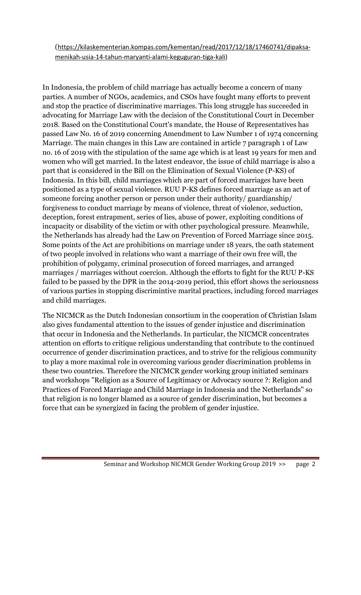(https://kilaskementerian.kompas.com/kementan/read/2017/12/18/17460741/dipaksamenikah-usia-14-tahun-maryanti-alami-keguguran-tiga-kali)

In Indonesia, the problem of child marriage has actually become a concern of many parties. A number of NGOs, academics, and CSOs have fought many efforts to prevent and stop the practice of discriminative marriages. This long struggle has succeeded in advocating for Marriage Law with the decision of the Constitutional Court in December 2018. Based on the Constitutional Court's mandate, the House of Representatives has passed Law No. 16 of 2019 concerning Amendment to Law Number 1 of 1974 concerning Marriage. The main changes in this Law are contained in article 7 paragraph 1 of Law no. 16 of 2019 with the stipulation of the same age which is at least 19 years for men and women who will get married. In the latest endeavor, the issue of child marriage is also a part that is considered in the Bill on the Elimination of Sexual Violence (P-KS) of Indonesia. In this bill, child marriages which are part of forced marriages have been positioned as a type of sexual violence. RUU P-KS defines forced marriage as an act of someone forcing another person or person under their authority/ guardianship/ forgiveness to conduct marriage by means of violence, threat of violence, seduction, deception, forest entrapment, series of lies, abuse of power, exploiting conditions of incapacity or disability of the victim or with other psychological pressure. Meanwhile, the Netherlands has already had the Law on Prevention of Forced Marriage since 2015. Some points of the Act are prohibitions on marriage under 18 years, the oath statement of two people involved in relations who want a marriage of their own free will, the prohibition of polygamy, criminal prosecution of forced marriages, and arranged marriages / marriages without coercion. Although the efforts to fight for the RUU P-KS failed to be passed by the DPR in the 2014-2019 period, this effort shows the seriousness of various parties in stopping discrimintive marital practices, including forced marriages and child marriages.

The NICMCR as the Dutch Indonesian consortium in the cooperation of Christian Islam also gives fundamental attention to the issues of gender injustice and discrimination that occur in Indonesia and the Netherlands. In particular, the NICMCR concentrates attention on efforts to critique religious understanding that contribute to the continued occurrence of gender discrimination practices, and to strive for the religious community to play a more maximal role in overcoming various gender discrimination problems in these two countries. Therefore the NICMCR gender working group initiated seminars and workshops "Religion as a Source of Legitimacy or Advocacy source ?: Religion and Practices of Forced Marriage and Child Marriage in Indonesia and the Netherlands" so that religion is no longer blamed as a source of gender discrimination, but becomes a force that can be synergized in facing the problem of gender injustice.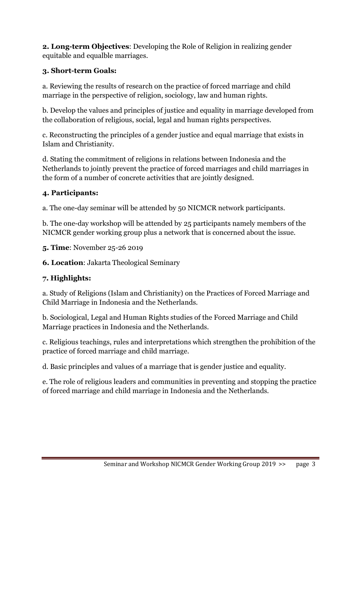2. Long-term Objectives: Developing the Role of Religion in realizing gender equitable and equalble marriages.

# 3. Short-term Goals:

a. Reviewing the results of research on the practice of forced marriage and child marriage in the perspective of religion, sociology, law and human rights.

b. Develop the values and principles of justice and equality in marriage developed from the collaboration of religious, social, legal and human rights perspectives.

c. Reconstructing the principles of a gender justice and equal marriage that exists in Islam and Christianity.

d. Stating the commitment of religions in relations between Indonesia and the Netherlands to jointly prevent the practice of forced marriages and child marriages in the form of a number of concrete activities that are jointly designed.

# 4. Participants:

a. The one-day seminar will be attended by 50 NICMCR network participants.

b. The one-day workshop will be attended by 25 participants namely members of the NICMCR gender working group plus a network that is concerned about the issue.

5. Time: November 25-26 2019

6. Location: Jakarta Theological Seminary

# 7. Highlights:

a. Study of Religions (Islam and Christianity) on the Practices of Forced Marriage and Child Marriage in Indonesia and the Netherlands.

b. Sociological, Legal and Human Rights studies of the Forced Marriage and Child Marriage practices in Indonesia and the Netherlands.

c. Religious teachings, rules and interpretations which strengthen the prohibition of the practice of forced marriage and child marriage.

d. Basic principles and values of a marriage that is gender justice and equality.

e. The role of religious leaders and communities in preventing and stopping the practice of forced marriage and child marriage in Indonesia and the Netherlands.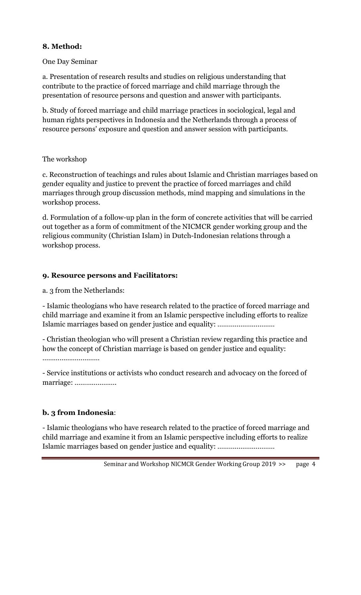## 8. Method:

#### One Day Seminar

a. Presentation of research results and studies on religious understanding that contribute to the practice of forced marriage and child marriage through the presentation of resource persons and question and answer with participants.

b. Study of forced marriage and child marriage practices in sociological, legal and human rights perspectives in Indonesia and the Netherlands through a process of resource persons' exposure and question and answer session with participants.

#### The workshop

c. Reconstruction of teachings and rules about Islamic and Christian marriages based on gender equality and justice to prevent the practice of forced marriages and child marriages through group discussion methods, mind mapping and simulations in the workshop process.

d. Formulation of a follow-up plan in the form of concrete activities that will be carried out together as a form of commitment of the NICMCR gender working group and the religious community (Christian Islam) in Dutch-Indonesian relations through a workshop process.

#### 9. Resource persons and Facilitators:

a. 3 from the Netherlands:

- Islamic theologians who have research related to the practice of forced marriage and child marriage and examine it from an Islamic perspective including efforts to realize Islamic marriages based on gender justice and equality: …………………………

- Christian theologian who will present a Christian review regarding this practice and how the concept of Christian marriage is based on gender justice and equality: …………………………

- Service institutions or activists who conduct research and advocacy on the forced of marriage: ………………….

# b. 3 from Indonesia:

- Islamic theologians who have research related to the practice of forced marriage and child marriage and examine it from an Islamic perspective including efforts to realize Islamic marriages based on gender justice and equality: …………………………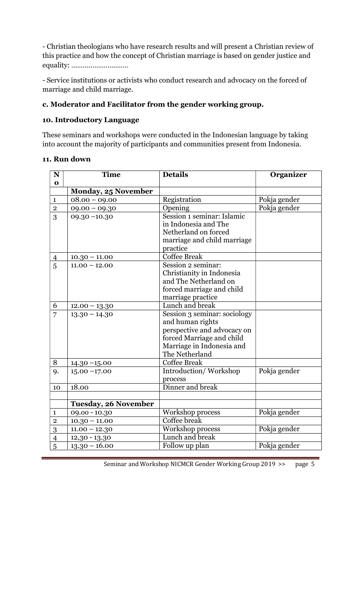- Christian theologians who have research results and will present a Christian review of this practice and how the concept of Christian marriage is based on gender justice and equality: …………………………

- Service institutions or activists who conduct research and advocacy on the forced of marriage and child marriage.

# c. Moderator and Facilitator from the gender working group.

#### 10. Introductory Language

These seminars and workshops were conducted in the Indonesian language by taking into account the majority of participants and communities present from Indonesia.

### 11. Run down

| N              | <b>Time</b>                 | <b>Details</b>               | Organizer    |
|----------------|-----------------------------|------------------------------|--------------|
| $\mathbf{o}$   |                             |                              |              |
|                | <b>Monday, 25 November</b>  |                              |              |
| $\mathbf{1}$   | $08.00 - 09.00$             | Registration                 | Pokja gender |
| $\sqrt{2}$     | $09.00 - 09.30$             | Opening                      | Pokja gender |
| 3              | $09.30 - 10.30$             | Session 1 seminar: Islamic   |              |
|                |                             | in Indonesia and The         |              |
|                |                             | Netherland on forced         |              |
|                |                             | marriage and child marriage  |              |
|                |                             | practice                     |              |
| $\overline{4}$ | $10.30 - 11.00$             | Coffee Break                 |              |
| 5              | $11.00 - 12.00$             | Session 2 seminar:           |              |
|                |                             | Christianity in Indonesia    |              |
|                |                             | and The Netherland on        |              |
|                |                             | forced marriage and child    |              |
|                |                             | marriage practice            |              |
| 6              | $12.00 - 13.30$             | Lunch and break              |              |
| $\overline{7}$ | $13.30 - 14.30$             | Session 3 seminar: sociology |              |
|                |                             | and human rights             |              |
|                |                             | perspective and advocacy on  |              |
|                |                             | forced Marriage and child    |              |
|                |                             | Marriage in Indonesia and    |              |
|                |                             | The Netherland               |              |
| 8              | $14.30 - 15.00$             | <b>Coffee Break</b>          |              |
| 9.             | $15.00 - 17.00$             | Introduction/Workshop        | Pokja gender |
|                |                             | process                      |              |
| 10             | 18.00                       | Dinner and break             |              |
|                |                             |                              |              |
|                | <b>Tuesday, 26 November</b> |                              |              |
| $\mathbf{1}$   | $09.00 - 10.30$             | Workshop process             | Pokja gender |
| $\overline{2}$ | $10.30 - 11.00$             | Coffee break                 |              |
| 3              | $11.00 - 12.30$             | Workshop process             | Pokja gender |
| $\overline{4}$ | $12,30 - 13.30$             | Lunch and break              |              |
| 5              | $13.30 - 16.00$             | Follow up plan               | Pokja gender |